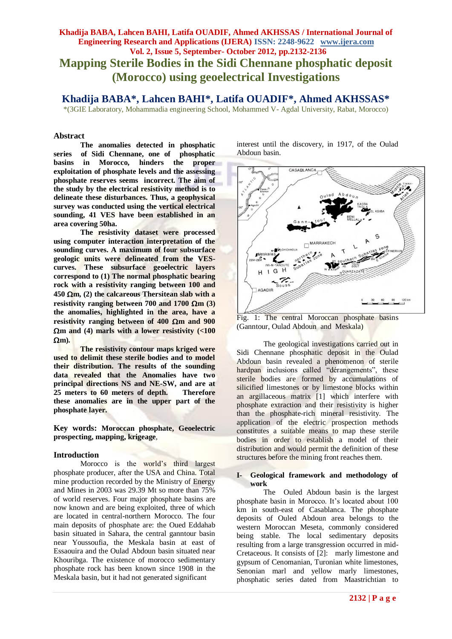# **Khadija BABA, Lahcen BAHI, Latifa OUADIF, Ahmed AKHSSAS / International Journal of Engineering Research and Applications (IJERA) ISSN: 2248-9622 www.ijera.com Vol. 2, Issue 5, September- October 2012, pp.2132-2136 Mapping Sterile Bodies in the Sidi Chennane phosphatic deposit (Morocco) using geoelectrical Investigations**

# **Khadija BABA\*, Lahcen BAHI\*, Latifa OUADIF\*, Ahmed AKHSSAS\***

\*(3GIE Laboratory, Mohammadia engineering School, Mohammed V- Agdal University, Rabat, Morocco)

#### **Abstract**

**The anomalies detected in phosphatic series of Sidi Chennane, one of phosphatic basins in Morocco, hinders the proper exploitation of phosphate levels and the assessing phosphate reserves seems incorrect. The aim of the study by the electrical resistivity method is to delineate these disturbances. Thus, a geophysical survey was conducted using the vertical electrical sounding, 41 VES have been established in an area covering 50ha.**

**The resistivity dataset were processed using computer interaction interpretation of the sounding curves. A maximum of four subsurface geologic units were delineated from the VEScurves. These subsurface geoelectric layers correspond to (1) The normal phosphatic bearing rock with a resistivity ranging between 100 and**   $450 \Omega m$ , (2) the calcareous Thersitean slab with a resistivity ranging between 700 and  $1700 \Omega m$  (3) **the anomalies, highlighted in the area, have a**  resistivity ranging between of  $400 \Omega m$  and  $900$ **m and (4) marls with a lower resistivity (<100**   $\Omega$ m).

**The resistivity contour maps kriged were used to delimit these sterile bodies and to model their distribution. The results of the sounding data revealed that the Anomalies have two principal directions NS and NE-SW, and are at 25 meters to 60 meters of depth. Therefore these anomalies are in the upper part of the phosphate layer.**

**Key words: Moroccan phosphate, Geoelectric prospecting, mapping, krigeage**,

#### **Introduction**

Morocco is the world's third largest phosphate producer, after the USA and China. Total mine production recorded by the Ministry of Energy and Mines in 2003 was 29.39 Mt so more than 75% of world reserves. Four major phosphate basins are now known and are being exploited, three of which are located in central-northern Morocco. The four main deposits of phosphate are: the Oued Eddahab basin situated in Sahara, the central ganntour basin near Youssoufia, the Meskala basin at east of Essaouira and the Oulad Abdoun basin situated near Khouribga. The existence of morocco sedimentary phosphate rock has been known since 1908 in the Meskala basin, but it had not generated significant

interest until the discovery, in 1917, of the Oulad Abdoun basin.



Fig. 1: The central Moroccan phosphate basins (Ganntour, Oulad Abdoun and Meskala)

The geological investigations carried out in Sidi Chennane phosphatic deposit in the Oulad Abdoun basin revealed a phenomenon of sterile hardpan inclusions called "dérangements", these sterile bodies are formed by accumulations of silicified limestones or by limestone blocks within an argillaceous matrix [1] which interfere with phosphate extraction and their resistivity is higher than the phosphate-rich mineral resistivity. The application of the electric prospection methods constitutes a suitable means to map these sterile bodies in order to establish a model of their distribution and would permit the definition of these structures before the mining front reaches them.

#### **I- Geological framework and methodology of work**

The Ouled Abdoun basin is the largest phosphate basin in Morocco. It's located about 100 km in south-east of Casablanca. The phosphate deposits of Ouled Abdoun area belongs to the western Moroccan Meseta, commonly considered being stable. The local sedimentary deposits resulting from a large transgression occurred in mid-Cretaceous. It consists of [2]: marly limestone and gypsum of Cenomanian, Turonian white limestones, Senonian marl and yellow marly limestones, phosphatic series dated from Maastrichtian to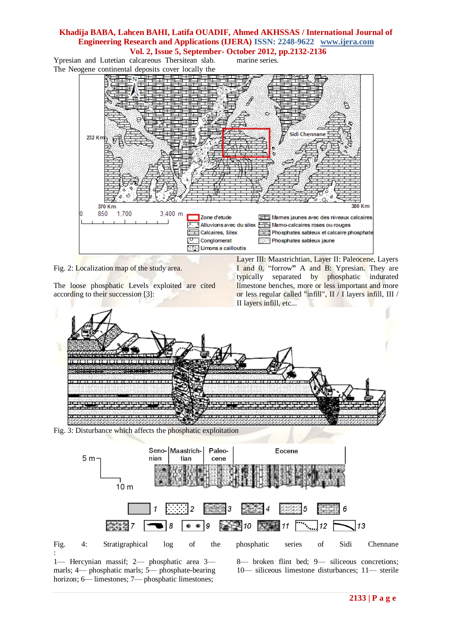### **Khadija BABA, Lahcen BAHI, Latifa OUADIF, Ahmed AKHSSAS / International Journal of Engineering Research and Applications (IJERA) ISSN: 2248-9622 www.ijera.com Vol. 2, Issue 5, September- October 2012, pp.2132-2136**

marine series.

Ypresian and Lutetian calcareous Thersitean slab. The Neogene continental deposits cover locally the



Fig. 2: Localization map of the study area.

The loose phosphatic Levels exploited are cited according to their succession [3]:

Layer III: Maastrichtian, Layer II: Paleocene, Layers I and 0, "forrow" A and B: Ypresian. They are typically separated by phosphatic indurated limestone benches, more or less important and more or less regular called "infill", II / I layers infill, III / II layers infill, etc...



Fig. 3: Disturbance which affects the phosphatic exploitation



1— Hercynian massif; 2— phosphatic area 3 marls; 4— phosphatic marls; 5— phosphate-bearing horizon; 6— limestones; 7— phosphatic limestones;

:

8— broken flint bed; 9— siliceous concretions; 10— siliceous limestone disturbances; 11— sterile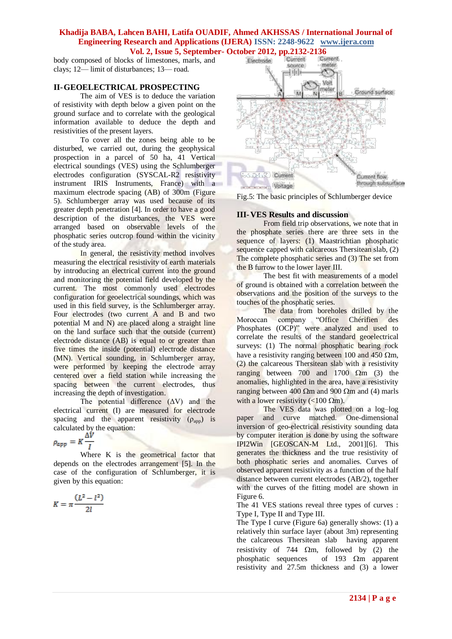# **Khadija BABA, Lahcen BAHI, Latifa OUADIF, Ahmed AKHSSAS / International Journal of Engineering Research and Applications (IJERA) ISSN: 2248-9622 www.ijera.com Vol. 2, Issue 5, September- October 2012, pp.2132-2136**

body composed of blocks of limestones, marls, and clays; 12— limit of disturbances; 13— road.

### **II-GEOELECTRICAL PROSPECTING**

The aim of VES is to deduce the variation of resistivity with depth below a given point on the ground surface and to correlate with the geological information available to deduce the depth and resistivities of the present layers.

To cover all the zones being able to be disturbed, we carried out, during the geophysical prospection in a parcel of 50 ha, 41 Vertical electrical soundings (VES) using the Schlumberger electrodes configuration (SYSCAL-R2 resistivity instrument IRIS Instruments, France) with a maximum electrode spacing (AB) of 300m (Figure 5). Schlumberger array was used because of its greater depth penetration [4]. In order to have a good description of the disturbances, the VES were arranged based on observable levels of the phosphatic series outcrop found within the vicinity of the study area.

In general, the resistivity method involves measuring the electrical resistivity of earth materials by introducing an electrical current into the ground and monitoring the potential field developed by the current. The most commonly used electrodes configuration for geoelectrical soundings, which was used in this field survey, is the Schlumberger array. Four electrodes (two current A and B and two potential M and N) are placed along a straight line on the land surface such that the outside (current) electrode distance (AB) is equal to or greater than five times the inside (potential) electrode distance (MN). Vertical sounding, in Schlumberger array, were performed by keeping the electrode array centered over a field station while increasing the spacing between the current electrodes, thus increasing the depth of investigation.

The potential difference  $(ΔV)$  and the electrical current (I) are measured for electrode spacing and the apparent resistivity  $(\rho_{app})$  is calculated by the equation:

$$
\rho_{app} = K \frac{\Delta V}{I}
$$

Where K is the geometrical factor that depends on the electrodes arrangement [5]. In the case of the configuration of Schlumberger, it is given by this equation:

$$
K = \pi \frac{(L^2 - l^2)}{2l}
$$



Fig.5: The basic principles of Schlumberger device

#### **III-VES Results and discussion**

From field trip observations, we note that in the phosphate series there are three sets in the sequence of layers: (1) Maastrichtian phosphatic sequence capped with calcareous Thersitean slab, (2) The complete phosphatic series and (3) The set from the B furrow to the lower layer III.

The best fit with measurements of a model of ground is obtained with a correlation between the observations and the position of the surveys to the touches of the phosphatic series.

The data from boreholes drilled by the Moroccan company "Office Chérifien des Phosphates (OCP)" were analyzed and used to correlate the results of the standard geoelectrical surveys: (1) The normal phosphatic bearing rock have a resistivity ranging between 100 and 450  $\Omega$ m, (2) the calcareous Thersitean slab with a resistivity ranging between 700 and 1700  $\Omega$ m (3) the anomalies, highlighted in the area, have a resistivity ranging between 400  $\Omega$ m and 900  $\Omega$ m and (4) marls with a lower resistivity ( $\langle 100 \Omega m \rangle$ .

The VES data was plotted on a log–log paper and curve matched. One-dimensional inversion of geo-electrical resistivity sounding data by computer iteration is done by using the software IPI2Win [GEOSCAN-M Ltd., 2001][6]. This generates the thickness and the true resistivity of both phosphatic series and anomalies. Curves of observed apparent resistivity as a function of the half distance between current electrodes (AB/2), together with the curves of the fitting model are shown in Figure 6.

The 41 VES stations reveal three types of curves : Type I, Type II and Type III.

The Type I curve (Figure 6a) generally shows: (1) a relatively thin surface layer (about 3m) representing the calcareous Thersitean slab having apparent resistivity of 744  $\Omega$ m, followed by (2) the phosphatic sequences of 193  $\Omega$ m apparent resistivity and 27.5m thickness and (3) a lower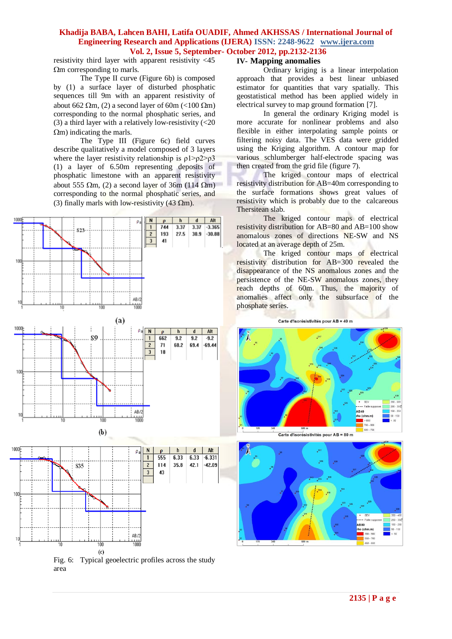### **Khadija BABA, Lahcen BAHI, Latifa OUADIF, Ahmed AKHSSAS / International Journal of Engineering Research and Applications (IJERA) ISSN: 2248-9622 www.ijera.com Vol. 2, Issue 5, September- October 2012, pp.2132-2136**

resistivity third layer with apparent resistivity <45  $\Omega$ m corresponding to marls.

The Type II curve (Figure 6b) is composed by (1) a surface layer of disturbed phosphatic sequences till 9m with an apparent resistivity of about 662  $\Omega$ m, (2) a second layer of 60m (<100  $\Omega$ m) corresponding to the normal phosphatic series, and (3) a third layer with a relatively low-resistivity (<20  $\Omega$ m) indicating the marls.

The Type III (Figure 6c) field curves describe qualitatively a model composed of 3 layers where the layer resistivity relationship is  $\rho$ 1> $\rho$ 2> $\rho$ 3 (1) a layer of 6.50m representing deposits of phosphatic limestone with an apparent resistivity about 555  $\Omega$ m, (2) a second layer of 36m (114  $\Omega$ m) corresponding to the normal phosphatic series, and (3) finally marls with low-resistivity (43  $\Omega$ m).



### **IV- Mapping anomalies**

Ordinary kriging is a linear interpolation approach that provides a best linear unbiased estimator for quantities that vary spatially. This geostatistical method has been applied widely in electrical survey to map ground formation [7].

In general the ordinary Kriging model is more accurate for nonlinear problems and also flexible in either interpolating sample points or filtering noisy data. The VES data were gridded using the Kriging algorithm. A contour map for various schlumberger half-electrode spacing was then created from the grid file (figure 7).

The kriged contour maps of electrical resistivity distribution for AB=40m corresponding to the surface formations shows great values of resistivity which is probably due to the calcareous Thersitean slab.

The kriged contour maps of electrical resistivity distribution for AB=80 and AB=100 show anomalous zones of directions NE-SW and NS located at an average depth of 25m.

The kriged contour maps of electrical resistivity distribution for AB=300 revealed the disappearance of the NS anomalous zones and the persistence of the NE-SW anomalous zones, they reach depths of 60m. Thus, the majority of anomalies affect only the subsurface of the phosphate series.

Carte d'isorésistivités pour AB = 40 m



Carte d'isorésistivités pour AB = 80 m